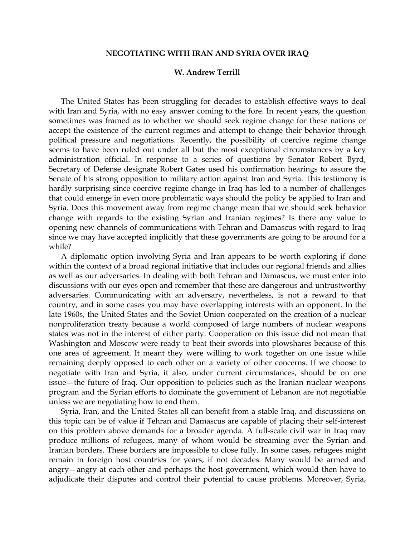## **NEGOTIATING WITH IRAN AND SYRIA OVER IRAQ**

## **W. Andrew Terrill**

 The United States has been struggling for decades to establish effective ways to deal with Iran and Syria, with no easy answer coming to the fore. In recent years, the question sometimes was framed as to whether we should seek regime change for these nations or accept the existence of the current regimes and attempt to change their behavior through political pressure and negotiations. Recently, the possibility of coercive regime change seems to have been ruled out under all but the most exceptional circumstances by a key administration official. In response to a series of questions by Senator Robert Byrd, Secretary of Defense designate Robert Gates used his confirmation hearings to assure the Senate of his strong opposition to military action against Iran and Syria. This testimony is hardly surprising since coercive regime change in Iraq has led to a number of challenges that could emerge in even more problematic ways should the policy be applied to Iran and Syria. Does this movement away from regime change mean that we should seek behavior change with regards to the existing Syrian and Iranian regimes? Is there any value to opening new channels of communications with Tehran and Damascus with regard to Iraq since we may have accepted implicitly that these governments are going to be around for a while?

 A diplomatic option involving Syria and Iran appears to be worth exploring if done within the context of a broad regional initiative that includes our regional friends and allies as well as our adversaries. In dealing with both Tehran and Damascus, we must enter into discussions with our eyes open and remember that these are dangerous and untrustworthy adversaries. Communicating with an adversary, nevertheless, is not a reward to that country, and in some cases you may have overlapping interests with an opponent. In the late 1960s, the United States and the Soviet Union cooperated on the creation of a nuclear nonproliferation treaty because a world composed of large numbers of nuclear weapons states was not in the interest of either party. Cooperation on this issue did not mean that Washington and Moscow were ready to beat their swords into plowshares because of this one area of agreement. It meant they were willing to work together on one issue while remaining deeply opposed to each other on a variety of other concerns. If we choose to negotiate with Iran and Syria, it also, under current circumstances, should be on one issue—the future of Iraq. Our opposition to policies such as the Iranian nuclear weapons program and the Syrian efforts to dominate the government of Lebanon are not negotiable unless we are negotiating how to end them.

 Syria, Iran, and the United States all can benefit from a stable Iraq, and discussions on this topic can be of value if Tehran and Damascus are capable of placing their self-interest on this problem above demands for a broader agenda. A full-scale civil war in Iraq may produce millions of refugees, many of whom would be streaming over the Syrian and Iranian borders. These borders are impossible to close fully. In some cases, refugees might remain in foreign host countries for years, if not decades. Many would be armed and angry—angry at each other and perhaps the host government, which would then have to adjudicate their disputes and control their potential to cause problems. Moreover, Syria,